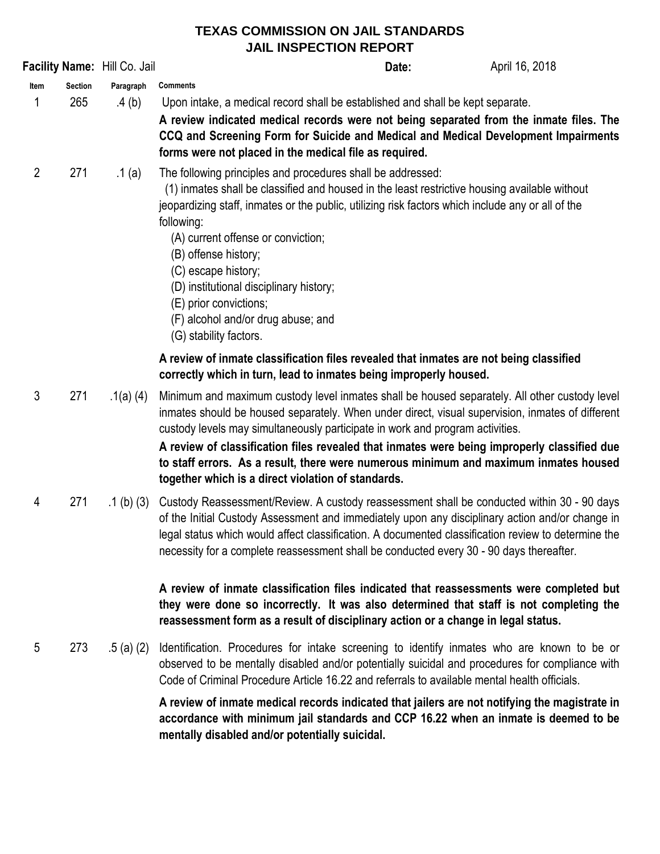## **TEXAS COMMISSION ON JAIL STANDARDS JAIL INSPECTION REPORT**

| Facility Name: Hill Co. Jail                                                                                                                                |                |              |                                                                                                                                                                                                                                                                                                                                                                                                                                                                                                                                 | Date: | April 16, 2018 |
|-------------------------------------------------------------------------------------------------------------------------------------------------------------|----------------|--------------|---------------------------------------------------------------------------------------------------------------------------------------------------------------------------------------------------------------------------------------------------------------------------------------------------------------------------------------------------------------------------------------------------------------------------------------------------------------------------------------------------------------------------------|-------|----------------|
| Item                                                                                                                                                        | <b>Section</b> | Paragraph    | <b>Comments</b>                                                                                                                                                                                                                                                                                                                                                                                                                                                                                                                 |       |                |
| 1                                                                                                                                                           | 265            | .4 (b)       | Upon intake, a medical record shall be established and shall be kept separate.<br>A review indicated medical records were not being separated from the inmate files. The<br>CCQ and Screening Form for Suicide and Medical and Medical Development Impairments<br>forms were not placed in the medical file as required.                                                                                                                                                                                                        |       |                |
| $\overline{2}$                                                                                                                                              | 271            | .1 (a)       | The following principles and procedures shall be addressed:<br>(1) inmates shall be classified and housed in the least restrictive housing available without<br>jeopardizing staff, inmates or the public, utilizing risk factors which include any or all of the<br>following:<br>(A) current offense or conviction;<br>(B) offense history;<br>(C) escape history;<br>(D) institutional disciplinary history;<br>(E) prior convictions;<br>(F) alcohol and/or drug abuse; and<br>(G) stability factors.                       |       |                |
| A review of inmate classification files revealed that inmates are not being classified<br>correctly which in turn, lead to inmates being improperly housed. |                |              |                                                                                                                                                                                                                                                                                                                                                                                                                                                                                                                                 |       |                |
| 3                                                                                                                                                           | 271            | .1(a) $(4)$  | Minimum and maximum custody level inmates shall be housed separately. All other custody level<br>inmates should be housed separately. When under direct, visual supervision, inmates of different<br>custody levels may simultaneously participate in work and program activities.<br>A review of classification files revealed that inmates were being improperly classified due<br>to staff errors. As a result, there were numerous minimum and maximum inmates housed<br>together which is a direct violation of standards. |       |                |
| 4                                                                                                                                                           | 271            | $.1$ (b) (3) | Custody Reassessment/Review. A custody reassessment shall be conducted within 30 - 90 days<br>of the Initial Custody Assessment and immediately upon any disciplinary action and/or change in<br>legal status which would affect classification. A documented classification review to determine the<br>necessity for a complete reassessment shall be conducted every 30 - 90 days thereafter.                                                                                                                                 |       |                |
|                                                                                                                                                             |                |              | A review of inmate classification files indicated that reassessments were completed but<br>they were done so incorrectly. It was also determined that staff is not completing the<br>reassessment form as a result of disciplinary action or a change in legal status.                                                                                                                                                                                                                                                          |       |                |
| 5                                                                                                                                                           | 273            | .5 (a) (2)   | Identification. Procedures for intake screening to identify inmates who are known to be or<br>observed to be mentally disabled and/or potentially suicidal and procedures for compliance with<br>Code of Criminal Procedure Article 16.22 and referrals to available mental health officials.                                                                                                                                                                                                                                   |       |                |
|                                                                                                                                                             |                |              | A review of inmate medical records indicated that jailers are not notifying the magistrate in<br>accordance with minimum jail standards and CCP 16.22 when an inmate is deemed to be<br>mentally disabled and/or potentially suicidal.                                                                                                                                                                                                                                                                                          |       |                |